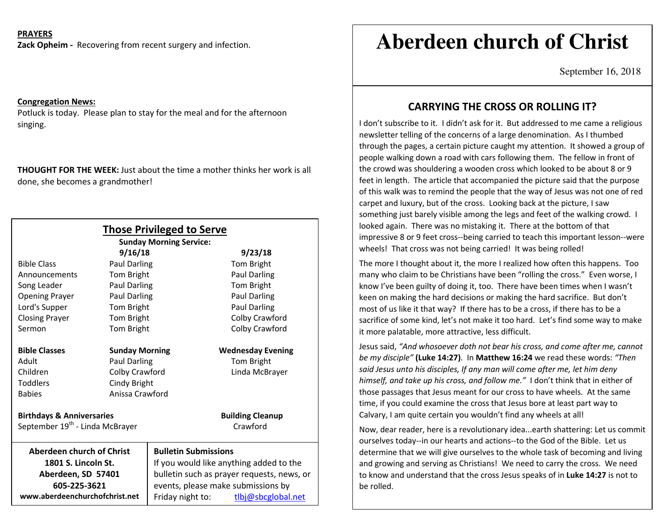## **PRAYERS**

**Zack Opheim -** Recovering from recent surgery and infection.

### **Congregation News:**

Potluck is today. Please plan to stay for the meal and for the afternoon singing.

**THOUGHT FOR THE WEEK:** Just about the time a mother thinks her work is alldone, she becomes a grandmother!

| <b>Those Privileged to Serve</b> |                                                                                                                                                                                                                                                                                                                                                                                                                             |  |
|----------------------------------|-----------------------------------------------------------------------------------------------------------------------------------------------------------------------------------------------------------------------------------------------------------------------------------------------------------------------------------------------------------------------------------------------------------------------------|--|
| <b>Sunday Morning Service:</b>   |                                                                                                                                                                                                                                                                                                                                                                                                                             |  |
|                                  | 9/23/18                                                                                                                                                                                                                                                                                                                                                                                                                     |  |
|                                  | Tom Bright                                                                                                                                                                                                                                                                                                                                                                                                                  |  |
|                                  | Paul Darling                                                                                                                                                                                                                                                                                                                                                                                                                |  |
|                                  | Tom Bright                                                                                                                                                                                                                                                                                                                                                                                                                  |  |
|                                  | <b>Paul Darling</b>                                                                                                                                                                                                                                                                                                                                                                                                         |  |
|                                  | Paul Darling                                                                                                                                                                                                                                                                                                                                                                                                                |  |
|                                  | Colby Crawford                                                                                                                                                                                                                                                                                                                                                                                                              |  |
|                                  | Colby Crawford                                                                                                                                                                                                                                                                                                                                                                                                              |  |
|                                  | <b>Wednesday Evening</b>                                                                                                                                                                                                                                                                                                                                                                                                    |  |
|                                  | Tom Bright                                                                                                                                                                                                                                                                                                                                                                                                                  |  |
|                                  | Linda McBrayer                                                                                                                                                                                                                                                                                                                                                                                                              |  |
|                                  |                                                                                                                                                                                                                                                                                                                                                                                                                             |  |
| Anissa Crawford                  |                                                                                                                                                                                                                                                                                                                                                                                                                             |  |
|                                  | <b>Building Cleanup</b>                                                                                                                                                                                                                                                                                                                                                                                                     |  |
|                                  | Crawford                                                                                                                                                                                                                                                                                                                                                                                                                    |  |
|                                  | <b>Bulletin Submissions</b>                                                                                                                                                                                                                                                                                                                                                                                                 |  |
|                                  | If you would like anything added to the                                                                                                                                                                                                                                                                                                                                                                                     |  |
|                                  | bulletin such as prayer requests, news, or                                                                                                                                                                                                                                                                                                                                                                                  |  |
|                                  | events, please make submissions by                                                                                                                                                                                                                                                                                                                                                                                          |  |
|                                  | Friday night to:<br>tlbj@sbcglobal.net                                                                                                                                                                                                                                                                                                                                                                                      |  |
|                                  | 9/16/18<br>Paul Darling<br>Tom Bright<br>Paul Darling<br>Paul Darling<br>Tom Bright<br>Tom Bright<br>Tom Bright<br><b>Sunday Morning</b><br><b>Paul Darling</b><br>Colby Crawford<br>Cindy Bright<br><b>Birthdays &amp; Anniversaries</b><br>September 19 <sup>th</sup> - Linda McBrayer<br><b>Aberdeen church of Christ</b><br>1801 S. Lincoln St.<br>Aberdeen, SD 57401<br>605-225-3621<br>www.aberdeenchurchofchrist.net |  |

# **Aberdeen church of Christ**

September 16, 2018

## **CARRYING THE CROSS OR ROLLING IT?**

I don't subscribe to it. I didn't ask for it. But addressed to me came a religious newsletter telling of the concerns of a large denomination. As I thumbed through the pages, a certain picture caught my attention. It showed a group of people walking down a road with cars following them. The fellow in front of the crowd was shouldering a wooden cross which looked to be about 8 or 9 feet in length. The article that accompanied the picture said that the purpose of this walk was to remind the people that the way of Jesus was not one of red carpet and luxury, but of the cross. Looking back at the picture, I saw something just barely visible among the legs and feet of the walking crowd. I looked again. There was no mistaking it. There at the bottom of that impressive 8 or 9 feet cross--being carried to teach this important lesson--were wheels! That cross was not being carried! It was being rolled!

The more I thought about it, the more I realized how often this happens. Too many who claim to be Christians have been "rolling the cross." Even worse, I know I've been guilty of doing it, too. There have been times when I wasn't keen on making the hard decisions or making the hard sacrifice. But don't most of us like it that way? If there has to be a cross, if there has to be a sacrifice of some kind, let's not make it too hard. Let's find some way to make it more palatable, more attractive, less difficult.

Jesus said, *"And whosoever doth not bear his cross, and come after me, cannot be my disciple"* **(Luke 14:27)**. In **Matthew 16:24** we read these words: *"Then said Jesus unto his disciples, If any man will come after me, let him deny himself, and take up his cross, and follow me."* I don't think that in either of those passages that Jesus meant for our cross to have wheels. At the same time, if you could examine the cross that Jesus bore at least part way to Calvary, I am quite certain you wouldn't find any wheels at all!

Now, dear reader, here is a revolutionary idea...earth shattering: Let us commit ourselves today--in our hearts and actions--to the God of the Bible. Let us determine that we will give ourselves to the whole task of becoming and living and growing and serving as Christians! We need to carry the cross. We need to know and understand that the cross Jesus speaks of in **Luke 14:27** is not to be rolled.